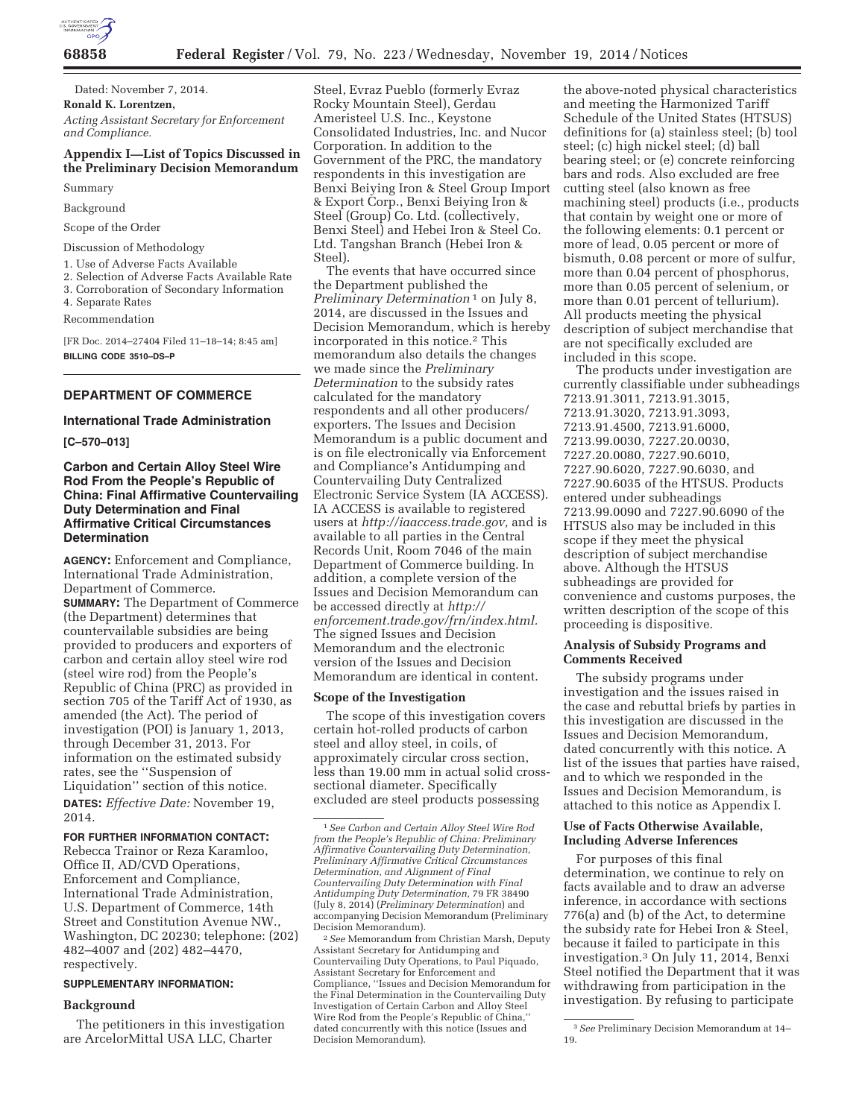

**68858 Federal Register** / Vol. 79, No. 223 / Wednesday, November 19, 2014 / Notices

Dated: November 7, 2014. **Ronald K. Lorentzen,**  *Acting Assistant Secretary for Enforcement and Compliance.* 

# **Appendix I—List of Topics Discussed in the Preliminary Decision Memorandum**

Summary

Background

Scope of the Order

Discussion of Methodology

1. Use of Adverse Facts Available

2. Selection of Adverse Facts Available Rate

3. Corroboration of Secondary Information

4. Separate Rates Recommendation

[FR Doc. 2014–27404 Filed 11–18–14; 8:45 am] **BILLING CODE 3510–DS–P** 

# **DEPARTMENT OF COMMERCE**

# **International Trade Administration**

**[C–570–013]** 

# **Carbon and Certain Alloy Steel Wire Rod From the People's Republic of China: Final Affirmative Countervailing Duty Determination and Final Affirmative Critical Circumstances Determination**

**AGENCY:** Enforcement and Compliance, International Trade Administration, Department of Commerce. **SUMMARY:** The Department of Commerce (the Department) determines that countervailable subsidies are being provided to producers and exporters of carbon and certain alloy steel wire rod (steel wire rod) from the People's Republic of China (PRC) as provided in section 705 of the Tariff Act of 1930, as amended (the Act). The period of investigation (POI) is January 1, 2013, through December 31, 2013. For information on the estimated subsidy rates, see the ''Suspension of Liquidation'' section of this notice. **DATES:** *Effective Date:* November 19, 2014.

#### **FOR FURTHER INFORMATION CONTACT:**

Rebecca Trainor or Reza Karamloo, Office II, AD/CVD Operations, Enforcement and Compliance, International Trade Administration, U.S. Department of Commerce, 14th Street and Constitution Avenue NW., Washington, DC 20230; telephone: (202) 482–4007 and (202) 482–4470, respectively.

#### **SUPPLEMENTARY INFORMATION:**

#### **Background**

The petitioners in this investigation are ArcelorMittal USA LLC, Charter

Steel, Evraz Pueblo (formerly Evraz Rocky Mountain Steel), Gerdau Ameristeel U.S. Inc., Keystone Consolidated Industries, Inc. and Nucor Corporation. In addition to the Government of the PRC, the mandatory respondents in this investigation are Benxi Beiying Iron & Steel Group Import & Export Corp., Benxi Beiying Iron & Steel (Group) Co. Ltd. (collectively, Benxi Steel) and Hebei Iron & Steel Co. Ltd. Tangshan Branch (Hebei Iron & Steel).

The events that have occurred since the Department published the *Preliminary Determination* 1 on July 8, 2014, are discussed in the Issues and Decision Memorandum, which is hereby incorporated in this notice.2 This memorandum also details the changes we made since the *Preliminary Determination* to the subsidy rates calculated for the mandatory respondents and all other producers/ exporters. The Issues and Decision Memorandum is a public document and is on file electronically via Enforcement and Compliance's Antidumping and Countervailing Duty Centralized Electronic Service System (IA ACCESS). IA ACCESS is available to registered users at *http://iaaccess.trade.gov,* and is available to all parties in the Central Records Unit, Room 7046 of the main Department of Commerce building. In addition, a complete version of the Issues and Decision Memorandum can be accessed directly at *http:// enforcement.trade.gov/frn/index.html.*  The signed Issues and Decision Memorandum and the electronic version of the Issues and Decision Memorandum are identical in content.

#### **Scope of the Investigation**

The scope of this investigation covers certain hot-rolled products of carbon steel and alloy steel, in coils, of approximately circular cross section, less than 19.00 mm in actual solid crosssectional diameter. Specifically excluded are steel products possessing

2*See* Memorandum from Christian Marsh, Deputy Assistant Secretary for Antidumping and Countervailing Duty Operations, to Paul Piquado, Assistant Secretary for Enforcement and Compliance, ''Issues and Decision Memorandum for the Final Determination in the Countervailing Duty Investigation of Certain Carbon and Alloy Steel Wire Rod from the People's Republic of China,'' dated concurrently with this notice (Issues and Decision Memorandum).

the above-noted physical characteristics and meeting the Harmonized Tariff Schedule of the United States (HTSUS) definitions for (a) stainless steel; (b) tool steel; (c) high nickel steel; (d) ball bearing steel; or (e) concrete reinforcing bars and rods. Also excluded are free cutting steel (also known as free machining steel) products (i.e., products that contain by weight one or more of the following elements: 0.1 percent or more of lead, 0.05 percent or more of bismuth, 0.08 percent or more of sulfur, more than 0.04 percent of phosphorus, more than 0.05 percent of selenium, or more than 0.01 percent of tellurium). All products meeting the physical description of subject merchandise that are not specifically excluded are included in this scope.

The products under investigation are currently classifiable under subheadings 7213.91.3011, 7213.91.3015, 7213.91.3020, 7213.91.3093, 7213.91.4500, 7213.91.6000, 7213.99.0030, 7227.20.0030, 7227.20.0080, 7227.90.6010, 7227.90.6020, 7227.90.6030, and 7227.90.6035 of the HTSUS. Products entered under subheadings 7213.99.0090 and 7227.90.6090 of the HTSUS also may be included in this scope if they meet the physical description of subject merchandise above. Although the HTSUS subheadings are provided for convenience and customs purposes, the written description of the scope of this proceeding is dispositive.

# **Analysis of Subsidy Programs and Comments Received**

The subsidy programs under investigation and the issues raised in the case and rebuttal briefs by parties in this investigation are discussed in the Issues and Decision Memorandum, dated concurrently with this notice. A list of the issues that parties have raised, and to which we responded in the Issues and Decision Memorandum, is attached to this notice as Appendix I.

### **Use of Facts Otherwise Available, Including Adverse Inferences**

For purposes of this final determination, we continue to rely on facts available and to draw an adverse inference, in accordance with sections 776(a) and (b) of the Act, to determine the subsidy rate for Hebei Iron & Steel, because it failed to participate in this investigation.3 On July 11, 2014, Benxi Steel notified the Department that it was withdrawing from participation in the investigation. By refusing to participate

<sup>1</sup>*See Carbon and Certain Alloy Steel Wire Rod from the People's Republic of China: Preliminary Affirmative Countervailing Duty Determination, Preliminary Affirmative Critical Circumstances Determination, and Alignment of Final Countervailing Duty Determination with Final Antidumping Duty Determination,* 79 FR 38490 (July 8, 2014) (*Preliminary Determination*) and accompanying Decision Memorandum (Preliminary Decision Memorandum).

<sup>3</sup>*See* Preliminary Decision Memorandum at 14– 19.